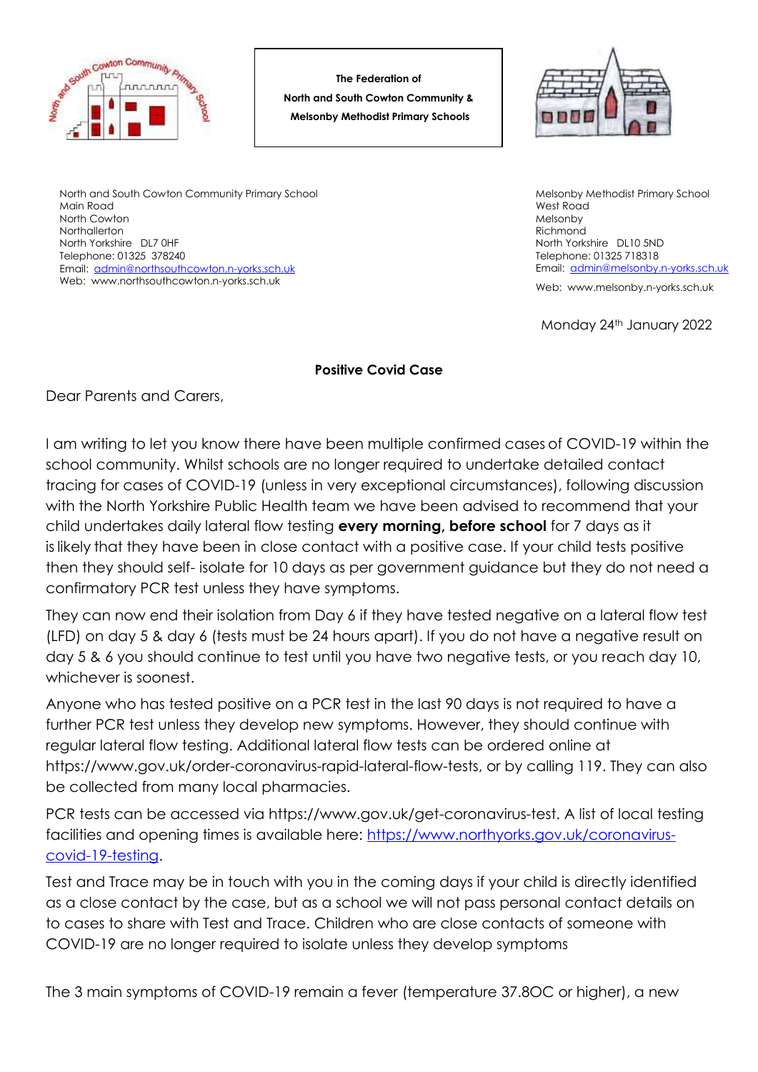

**The Federation of North and South Cowton Community & Melsonby Methodist Primary Schools**



North and South Cowton Community Primary School Main Road North Cowton **Northallerton** North Yorkshire DL7 0HF Telephone: 01325 378240 Email: [admin@northsouthcowton.n-yorks.sch.uk](mailto:admin@northsouthcowton.n-yorks.sch.uk) Web: www.northsouthcowton.n-yorks.sch.uk

Melsonby Methodist Primary School West Road Melsonby Richmond North Yorkshire DL10 5ND Telephone: 01325 718318 Email: [admin@melsonby.n-yorks.sch.uk](mailto:admin@melsonby.n-yorks.sch.uk)

Web: www.melsonby.n-yorks.sch.uk

Monday 24th January 2022

## **Positive Covid Case**

Dear Parents and Carers,

I am writing to let you know there have been multiple confirmed cases of COVID-19 within the school community. Whilst schools are no longer required to undertake detailed contact tracing for cases of COVID-19 (unless in very exceptional circumstances), following discussion with the North Yorkshire Public Health team we have been advised to recommend that your child undertakes daily lateral flow testing **every morning, before school** for 7 days as it is likely that they have been in close contact with a positive case. If your child tests positive then they should self- isolate for 10 days as per government guidance but they do not need a confirmatory PCR test unless they have symptoms.

They can now end their isolation from Day 6 if they have tested negative on a lateral flow test (LFD) on day 5 & day 6 (tests must be 24 hours apart). If you do not have a negative result on day 5 & 6 you should continue to test until you have two negative tests, or you reach day 10, whichever is soonest.

Anyone who has tested positive on a PCR test in the last 90 days is not required to have a further PCR test unless they develop new symptoms. However, they should continue with regular lateral flow testing. Additional lateral flow tests can be ordered online at https://www.gov.uk/order-coronavirus-rapid-lateral-flow-tests, or by calling 119. They can also be collected from many local pharmacies.

PCR tests can be accessed via https://www.gov.uk/get-coronavirus-test. A list of local testing facilities and opening times is available here: [https://www.northyorks.gov.uk/coronavirus](https://www.northyorks.gov.uk/coronavirus-covid-19-testing)[covid-19-testing.](https://www.northyorks.gov.uk/coronavirus-covid-19-testing)

Test and Trace may be in touch with you in the coming days if your child is directly identified as a close contact by the case, but as a school we will not pass personal contact details on to cases to share with Test and Trace. Children who are close contacts of someone with COVID-19 are no longer required to isolate unless they develop symptoms

The 3 main symptoms of COVID-19 remain a fever (temperature 37.8OC or higher), a new